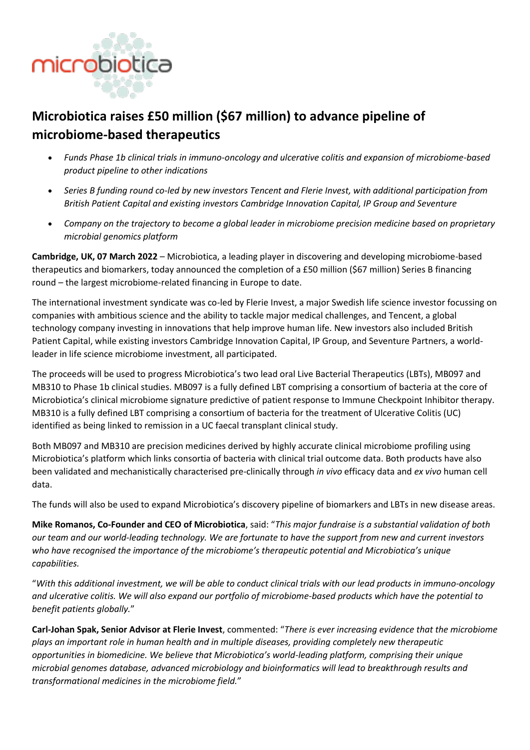

# **Microbiotica raises £50 million (\$67 million) to advance pipeline of microbiome-based therapeutics**

- *Funds Phase 1b clinical trials in immuno-oncology and ulcerative colitis and expansion of microbiome-based product pipeline to other indications*
- *Series B funding round co-led by new investors Tencent and Flerie Invest, with additional participation from British Patient Capital and existing investors Cambridge Innovation Capital, IP Group and Seventure*
- *Company on the trajectory to become a global leader in microbiome precision medicine based on proprietary microbial genomics platform*

**Cambridge, UK, 07 March 2022** – Microbiotica, a leading player in discovering and developing microbiome-based therapeutics and biomarkers, today announced the completion of a £50 million (\$67 million) Series B financing round – the largest microbiome-related financing in Europe to date.

The international investment syndicate was co-led by Flerie Invest, a major Swedish life science investor focussing on companies with ambitious science and the ability to tackle major medical challenges, and Tencent, a global technology company investing in innovations that help improve human life. New investors also included British Patient Capital, while existing investors Cambridge Innovation Capital, IP Group, and Seventure Partners, a worldleader in life science microbiome investment, all participated.

The proceeds will be used to progress Microbiotica's two lead oral Live Bacterial Therapeutics (LBTs), MB097 and MB310 to Phase 1b clinical studies. MB097 is a fully defined LBT comprising a consortium of bacteria at the core of Microbiotica's clinical microbiome signature predictive of patient response to Immune Checkpoint Inhibitor therapy. MB310 is a fully defined LBT comprising a consortium of bacteria for the treatment of Ulcerative Colitis (UC) identified as being linked to remission in a UC faecal transplant clinical study.

Both MB097 and MB310 are precision medicines derived by highly accurate clinical microbiome profiling using Microbiotica's platform which links consortia of bacteria with clinical trial outcome data. Both products have also been validated and mechanistically characterised pre-clinically through *in vivo* efficacy data and *ex vivo* human cell data.

The funds will also be used to expand Microbiotica's discovery pipeline of biomarkers and LBTs in new disease areas.

**Mike Romanos, Co-Founder and CEO of Microbiotica**, said: "*This major fundraise is a substantial validation of both our team and our world-leading technology. We are fortunate to have the support from new and current investors who have recognised the importance of the microbiome's therapeutic potential and Microbiotica's unique capabilities.*

"*With this additional investment, we will be able to conduct clinical trials with our lead products in immuno-oncology and ulcerative colitis. We will also expand our portfolio of microbiome-based products which have the potential to benefit patients globally.*"

**Carl-Johan Spak, Senior Advisor at Flerie Invest**, commented: "*There is ever increasing evidence that the microbiome plays an important role in human health and in multiple diseases, providing completely new therapeutic opportunities in biomedicine. We believe that Microbiotica's world-leading platform, comprising their unique microbial genomes database, advanced microbiology and bioinformatics will lead to breakthrough results and transformational medicines in the microbiome field.*"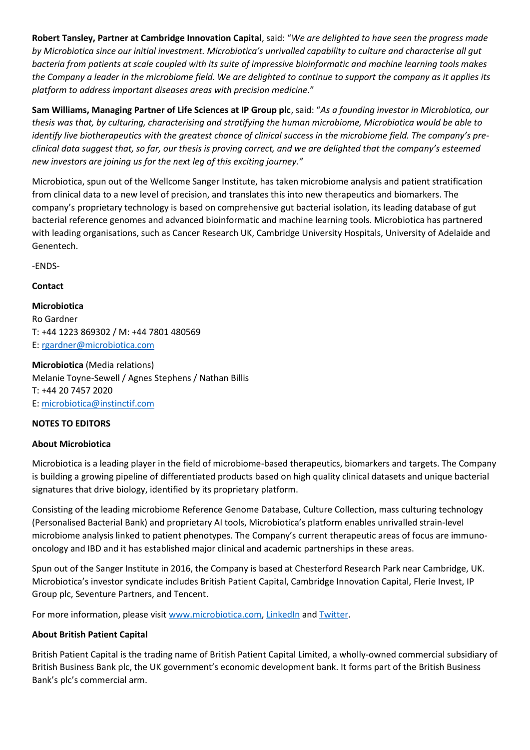**Robert Tansley, Partner at Cambridge Innovation Capital**, said: "*We are delighted to have seen the progress made by Microbiotica since our initial investment. Microbiotica's unrivalled capability to culture and characterise all gut bacteria from patients at scale coupled with its suite of impressive bioinformatic and machine learning tools makes the Company a leader in the microbiome field. We are delighted to continue to support the company as it applies its platform to address important diseases areas with precision medicine*."

**Sam Williams, Managing Partner of Life Sciences at IP Group plc**, said: "*As a founding investor in Microbiotica, our thesis was that, by culturing, characterising and stratifying the human microbiome, Microbiotica would be able to identify live biotherapeutics with the greatest chance of clinical success in the microbiome field. The company's preclinical data suggest that, so far, our thesis is proving correct, and we are delighted that the company's esteemed new investors are joining us for the next leg of this exciting journey."*

Microbiotica, spun out of the Wellcome Sanger Institute, has taken microbiome analysis and patient stratification from clinical data to a new level of precision, and translates this into new therapeutics and biomarkers. The company's proprietary technology is based on comprehensive gut bacterial isolation, its leading database of gut bacterial reference genomes and advanced bioinformatic and machine learning tools. Microbiotica has partnered with leading organisations, such as Cancer Research UK, Cambridge University Hospitals, University of Adelaide and Genentech.

-ENDS-

**Contact**

**Microbiotica** Ro Gardner T: +44 1223 869302 / M: +44 7801 480569 E: [rgardner@microbiotica.com](mailto:rgardner@microbiotica.com)

**Microbiotica** (Media relations) Melanie Toyne-Sewell / Agnes Stephens / Nathan Billis T: +44 20 7457 2020 E: [microbiotica@instinctif.com](mailto:microbiotica@instinctif.com)

### **NOTES TO EDITORS**

### **About Microbiotica**

Microbiotica is a leading player in the field of microbiome-based therapeutics, biomarkers and targets. The Company is building a growing pipeline of differentiated products based on high quality clinical datasets and unique bacterial signatures that drive biology, identified by its proprietary platform.

Consisting of the leading microbiome Reference Genome Database, Culture Collection, mass culturing technology (Personalised Bacterial Bank) and proprietary AI tools, Microbiotica's platform enables unrivalled strain-level microbiome analysis linked to patient phenotypes. The Company's current therapeutic areas of focus are immunooncology and IBD and it has established major clinical and academic partnerships in these areas.

Spun out of the Sanger Institute in 2016, the Company is based at Chesterford Research Park near Cambridge, UK. Microbiotica's investor syndicate includes British Patient Capital, Cambridge Innovation Capital, Flerie Invest, IP Group plc, Seventure Partners, and Tencent.

For more information, please visi[t www.microbiotica.com,](https://microbiotica.com/) [LinkedIn](https://www.linkedin.com/company/microbiotica-limited) an[d Twitter.](https://twitter.com/microbioticaltd)

#### **About British Patient Capital**

British Patient Capital is the trading name of British Patient Capital Limited, a wholly-owned commercial subsidiary of British Business Bank plc, the UK government's economic development bank. It forms part of the British Business Bank's plc's commercial arm.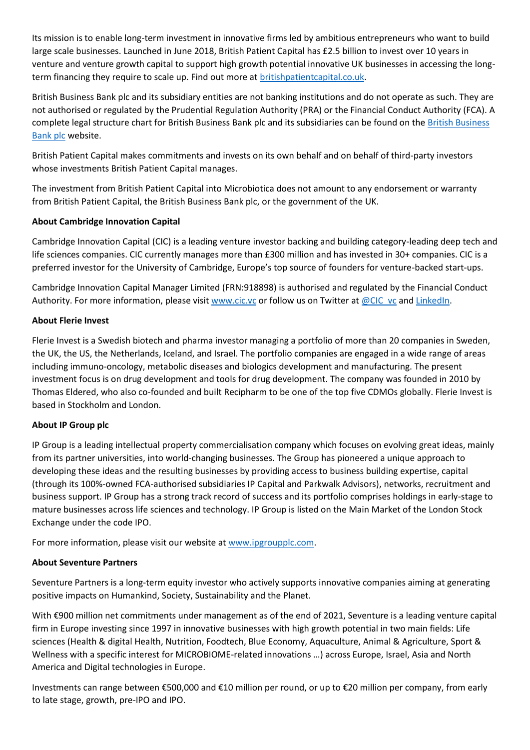Its mission is to enable long-term investment in innovative firms led by ambitious entrepreneurs who want to build large scale businesses. Launched in June 2018, British Patient Capital has £2.5 billion to invest over 10 years in venture and venture growth capital to support high growth potential innovative UK businesses in accessing the longterm financing they require to scale up. Find out more at **britishpatientcapital.co.uk**.

British Business Bank plc and its subsidiary entities are not banking institutions and do not operate as such. They are not authorised or regulated by the Prudential Regulation Authority (PRA) or the Financial Conduct Authority (FCA). A complete legal structure chart for British Business Bank plc and its subsidiaries can be found on the [British Business](https://www.british-business-bank.co.uk/corporate-information/)  [Bank plc](https://www.british-business-bank.co.uk/corporate-information/) website.

British Patient Capital makes commitments and invests on its own behalf and on behalf of third-party investors whose investments British Patient Capital manages.

The investment from British Patient Capital into Microbiotica does not amount to any endorsement or warranty from British Patient Capital, the British Business Bank plc, or the government of the UK.

### **About Cambridge Innovation Capital**

Cambridge Innovation Capital (CIC) is a leading venture investor backing and building category-leading deep tech and life sciences companies. CIC currently manages more than £300 million and has invested in 30+ companies. CIC is a preferred investor for the University of Cambridge, Europe's top source of founders for venture-backed start-ups.

Cambridge Innovation Capital Manager Limited (FRN:918898) is authorised and regulated by the Financial Conduct Authority. For more information, please visit [www.cic.vc](http://www.cic.vc/) or follow us on Twitter at [@CIC\\_vc](https://twitter.com/cic_vc?lang=en) an[d LinkedIn.](https://www.linkedin.com/company/cambridge-innovation-capital)

### **About Flerie Invest**

Flerie Invest is a Swedish biotech and pharma investor managing a portfolio of more than 20 companies in Sweden, the UK, the US, the Netherlands, Iceland, and Israel. The portfolio companies are engaged in a wide range of areas including immuno-oncology, metabolic diseases and biologics development and manufacturing. The present investment focus is on drug development and tools for drug development. The company was founded in 2010 by Thomas Eldered, who also co-founded and built Recipharm to be one of the top five CDMOs globally. Flerie Invest is based in Stockholm and London.

### **About IP Group plc**

IP Group is a leading intellectual property commercialisation company which focuses on evolving great ideas, mainly from its partner universities, into world-changing businesses. The Group has pioneered a unique approach to developing these ideas and the resulting businesses by providing access to business building expertise, capital (through its 100%-owned FCA-authorised subsidiaries IP Capital and Parkwalk Advisors), networks, recruitment and business support. IP Group has a strong track record of success and its portfolio comprises holdings in early-stage to mature businesses across life sciences and technology. IP Group is listed on the Main Market of the London Stock Exchange under the code IPO.

For more information, please visit our website at [www.ipgroupplc.com.](https://www.ipgroupplc.com/)

### **About Seventure Partners**

Seventure Partners is a long-term equity investor who actively supports innovative companies aiming at generating positive impacts on Humankind, Society, Sustainability and the Planet.

With €900 million net commitments under management as of the end of 2021, Seventure is a leading venture capital firm in Europe investing since 1997 in innovative businesses with high growth potential in two main fields: Life sciences (Health & digital Health, Nutrition, Foodtech, Blue Economy, Aquaculture, Animal & Agriculture, Sport & Wellness with a specific interest for MICROBIOME-related innovations …) across Europe, Israel, Asia and North America and Digital technologies in Europe.

Investments can range between €500,000 and €10 million per round, or up to €20 million per company, from early to late stage, growth, pre-IPO and IPO.